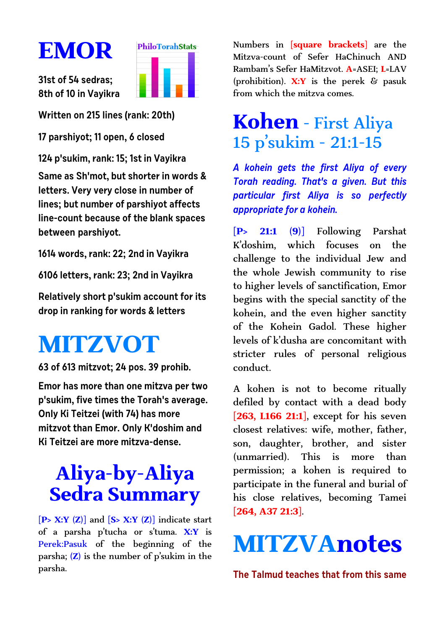# **EMOR**



**31st of 54 sedras; 8th of 10 in Vayikra**

**Written on 215 lines (rank: 20th)**

**17 parshiyot; 11 open, 6 closed**

**124 p'sukim, rank: 15; 1st in Vayikra Same as Sh'mot, but shorter in words & letters. Very very close in number of lines; but number of parshiyot affects line-count because of the blank spaces between parshiyot.**

**1614 words, rank: 22; 2nd in Vayikra**

**6106 letters, rank: 23; 2nd in Vayikra**

**Relatively short p'sukim account for its drop in ranking for words & letters**

# **MITZVOT**

**63 of 613 mitzvot; 24 pos. 39 prohib.**

**Emor has more than one mitzva per two p'sukim, five times the Torah's average. Only Ki Teitzei (with 74) has more mitzvot than Emor. Only K'doshim and Ki Teitzei are more mitzva-dense.**

## **Aliya-by-Aliya Sedra Summary**

**[P> X:Y (Z)]** and **[S> X:Y (Z)]** indicate start of a parsha p'tucha or s'tuma. **X:Y** is Perek:Pasuk of the beginning of the parsha; **(Z)** is the number of p'sukim in the parsha.

Numbers in **[square brackets]** are the Mitzva-count of Sefer HaChinuch AND Rambam's Sefer HaMitzvot. **A**=ASEI; **L**=LAV (prohibition). **X:Y** is the perek & pasuk from which the mitzva comes.

#### **Kohen** - First Aliya 15 p'sukim - 21:1-15

**A kohein gets the first Aliya of every Torah reading. That's a given. But this particular first Aliya is so perfectly appropriate for a kohein.**

**[P> 21:1 (9)]** Following Parshat K'doshim, which focuses on the challenge to the individual Jew and the whole Jewish community to rise to higher levels of sanctification, Emor begins with the special sanctity of the kohein, and the even higher sanctity of the Kohein Gadol. These higher levels of k'dusha are concomitant with stricter rules of personal religious conduct.

A kohen is not to become ritually defiled by contact with a dead body **[263, L166 21:1]**, except for his seven closest relatives: wife, mother, father, son, daughter, brother, and sister (unmarried). This is more than permission; a kohen is required to participate in the funeral and burial of his close relatives, becoming Tamei **[264, A37 21:3]**.

# **MITZVAnotes**

**The Talmud teaches that from this same**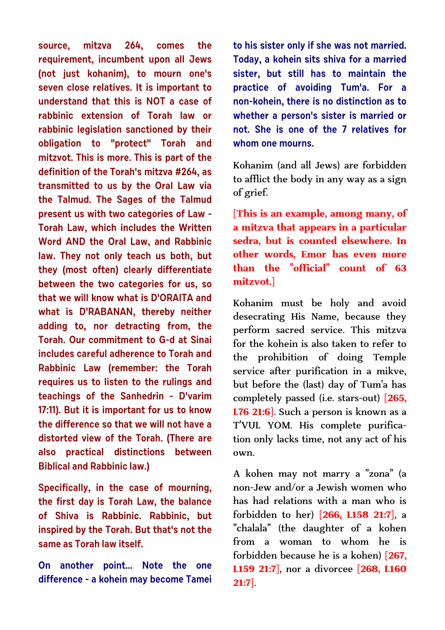**source, mitzva 264, comes the requirement, incumbent upon all Jews (not just kohanim), to mourn one's seven close relatives. It is important to understand that this is NOT a case of rabbinic extension of Torah law or rabbinic legislation sanctioned by their obligation to "protect" Torah and mitzvot. This is more. This is part of the definition of the Torah's mitzva #264, as transmitted to us by the Oral Law via the Talmud. The Sages of the Talmud present us with two categories of Law - Torah Law, which includes the Written Word AND the Oral Law, and Rabbinic law. They not only teach us both, but they (most often) clearly differentiate between the two categories for us, so that we will know what is D'ORAITA and what is D'RABANAN, thereby neither adding to, nor detracting from, the Torah. Our commitment to G-d at Sinai includes careful adherence to Torah and Rabbinic Law (remember: the Torah requires us to listen to the rulings and teachings of the Sanhedrin - D'varim 17:11). But it is important for us to know the difference so that we will not have a distorted view of the Torah. (There are also practical distinctions between Biblical and Rabbinic law.)** 

**Specifically, in the case of mourning, the first day is Torah Law, the balance of Shiva is Rabbinic. Rabbinic, but inspired by the Torah. But that's not the same as Torah law itself.** 

**On another point... Note the one difference - a kohein may become Tamei** **to his sister only if she was not married. Today, a kohein sits shiva for a married sister, but still has to maintain the practice of avoiding Tum'a. For a non-kohein, there is no distinction as to whether a person's sister is married or not. She is one of the 7 relatives for whom one mourns.**

Kohanim (and all Jews) are forbidden to afflict the body in any way as a sign of grief.

**[This is an example, among many, of a mitzva that appears in a particular sedra, but is counted elsewhere. In other words, Emor has even more than the "official" count of 63 mitzvot.]**

Kohanim must be holy and avoid desecrating His Name, because they perform sacred service. This mitzva for the kohein is also taken to refer to the prohibition of doing Temple service after purification in a mikve, but before the (last) day of Tum'a has completely passed (i.e. stars-out) **[265, L76 21:6]**. Such a person is known as a T'VUL YOM. His complete purification only lacks time, not any act of his own.

A kohen may not marry a "zona" (a non-Jew and/or a Jewish women who has had relations with a man who is forbidden to her) **[266, L158 21:7]**, a "chalala" (the daughter of a kohen from a woman to whom he is forbidden because he is a kohen) **[267, L159 21:7]**, nor a divorcee **[268, L160 21:7]**.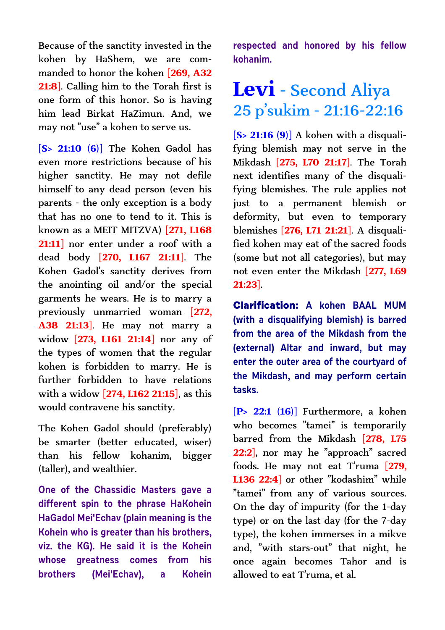Because of the sanctity invested in the kohen by HaShem, we are commanded to honor the kohen **[269, A32 21:8]**. Calling him to the Torah first is one form of this honor. So is having him lead Birkat HaZimun. And, we may not "use" a kohen to serve us.

**[S> 21:10 (6)]** The Kohen Gadol has even more restrictions because of his higher sanctity. He may not defile himself to any dead person (even his parents - the only exception is a body that has no one to tend to it. This is known as a MEIT MITZVA) **[271, L168 21:11]** nor enter under a roof with a dead body **[270, L167 21:11]**. The Kohen Gadol's sanctity derives from the anointing oil and/or the special garments he wears. He is to marry a previously unmarried woman **[272, A38 21:13]**. He may not marry a widow **[273, L161 21:14]** nor any of the types of women that the regular kohen is forbidden to marry. He is further forbidden to have relations with a widow **[274, L162 21:15]**, as this would contravene his sanctity.

The Kohen Gadol should (preferably) be smarter (better educated, wiser) than his fellow kohanim, bigger (taller), and wealthier.

**One of the Chassidic Masters gave a different spin to the phrase HaKohein HaGadol Mei'Echav (plain meaning is the Kohein who is greater than his brothers, viz. the KG). He said it is the Kohein whose greatness comes from his brothers (Mei'Echav), a Kohein** **respected and honored by his fellow kohanim.**

#### **Levi** - Second Aliya 25 p'sukim - 21:16-22:16

**[S> 21:16 (9)]** A kohen with a disqualifying blemish may not serve in the Mikdash **[275, L70 21:17]**. The Torah next identifies many of the disqualifying blemishes. The rule applies not just to a permanent blemish or deformity, but even to temporary blemishes **[276, L71 21:21]**. A disqualified kohen may eat of the sacred foods (some but not all categories), but may not even enter the Mikdash **[277, L69 21:23]**.

**Clarification: A kohen BAAL MUM (with a disqualifying blemish) is barred from the area of the Mikdash from the (external) Altar and inward, but may enter the outer area of the courtyard of the Mikdash, and may perform certain tasks.** 

**[P> 22:1 (16)]** Furthermore, a kohen who becomes "tamei" is temporarily barred from the Mikdash **[278, L75** 22:2], nor may he "approach" sacred foods. He may not eat T'ruma **[279, L136 22:4]** or other "kodashim" while "tamei" from any of various sources. On the day of impurity (for the 1-day type) or on the last day (for the 7-day type), the kohen immerses in a mikve and, "with stars-out" that night, he once again becomes Tahor and is allowed to eat T'ruma, et al.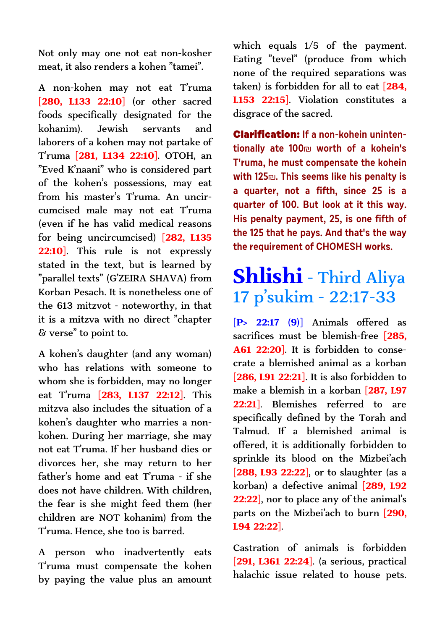Not only may one not eat non-kosher meat, it also renders a kohen "tamei".

A non-kohen may not eat T'ruma **[280, L133 22:10]** (or other sacred foods specifically designated for the kohanim). Jewish servants and laborers of a kohen may not partake of T'ruma **[281, L134 22:10]**. OTOH, an "Eved K'naani" who is considered part of the kohen's possessions, may eat from his master's T'ruma. An uncircumcised male may not eat T'ruma (even if he has valid medical reasons for being uncircumcised) **[282, L135 22:10]**. This rule is not expressly stated in the text, but is learned by "parallel texts" (G'ZEIRA SHAVA) from Korban Pesach. It is nonetheless one of the 613 mitzvot - noteworthy, in that it is a mitzva with no direct "chapter & verse" to point to.

A kohen's daughter (and any woman) who has relations with someone to whom she is forbidden, may no longer eat T'ruma **[283, L137 22:12]**. This mitzva also includes the situation of a kohen's daughter who marries a nonkohen. During her marriage, she may not eat T'ruma. If her husband dies or divorces her, she may return to her father's home and eat T'ruma - if she does not have children. With children, the fear is she might feed them (her children are NOT kohanim) from the T'ruma. Hence, she too is barred.

A person who inadvertently eats T'ruma must compensate the kohen by paying the value plus an amount which equals 1/5 of the payment. Eating "tevel" (produce from which none of the required separations was taken) is forbidden for all to eat **[284, L153 22:15]**. Violation constitutes a disgrace of the sacred.

**Clarification: If a non-kohein unintentionally ate 100**å **worth of a kohein's T'ruma, he must compensate the kohein with 125**å**. This seems like his penalty is a quarter, not a fifth, since 25 is a quarter of 100. But look at it this way. His penalty payment, 25, is one fifth of the 125 that he pays. And that's the way the requirement of CHOMESH works.**

### **Shlishi** - Third Aliya 17 p'sukim - 22:17-33

**[P> 22:17 (9)]** Animals offered as sacrifices must be blemish-free **[285, A61 22:20]**. It is forbidden to consecrate a blemished animal as a korban **[286, L91 22:21]**. It is also forbidden to make a blemish in a korban **[287, L97 22:21]**. Blemishes referred to are specifically defined by the Torah and Talmud. If a blemished animal is offered, it is additionally forbidden to sprinkle its blood on the Mizbei'ach **[288, L93 22:22]**, or to slaughter (as a korban) a defective animal **[289, L92 22:22]**, nor to place any of the animal's parts on the Mizbei'ach to burn **[290, L94 22:22]**.

Castration of animals is forbidden **[291, L361 22:24]**. (a serious, practical halachic issue related to house pets.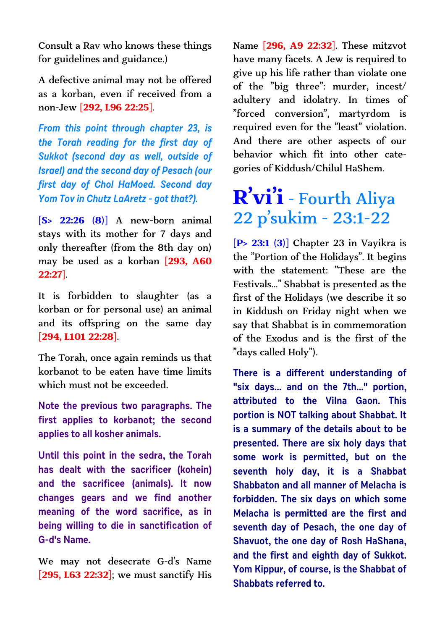Consult a Rav who knows these things for guidelines and guidance.)

A defective animal may not be offered as a korban, even if received from a non-Jew **[292, L96 22:25]**.

**From this point through chapter 23, is the Torah reading for the first day of Sukkot (second day as well, outside of Israel) and the second day of Pesach (our first day of Chol HaMoed. Second day Yom Tov in Chutz LaAretz - got that?).** 

**[S> 22:26 (8)]** A new-born animal stays with its mother for 7 days and only thereafter (from the 8th day on) may be used as a korban **[293, A60 22:27]**.

It is forbidden to slaughter (as a korban or for personal use) an animal and its offspring on the same day **[294, L101 22:28]**.

The Torah, once again reminds us that korbanot to be eaten have time limits which must not be exceeded.

**Note the previous two paragraphs. The first applies to korbanot; the second applies to all kosher animals.**

**Until this point in the sedra, the Torah has dealt with the sacrificer (kohein) and the sacrificee (animals). It now changes gears and we find another meaning of the word sacrifice, as in being willing to die in sanctification of G-d's Name.** 

We may not desecrate G-d's Name **[295, L63 22:32]**; we must sanctify His Name **[296, A9 22:32]**. These mitzvot have many facets. A Jew is required to give up his life rather than violate one of the "big three": murder, incest/ adultery and idolatry. In times of "forced conversion", martyrdom is required even for the "least" violation. And there are other aspects of our behavior which fit into other categories of Kiddush/Chilul HaShem.

## **R'vi'i** - Fourth Aliya 22 p'sukim - 23:1-22

**[P> 23:1 (3)]** Chapter 23 in Vayikra is the "Portion of the Holidays". It begins with the statement: "These are the Festivals..." Shabbat is presented as the first of the Holidays (we describe it so in Kiddush on Friday night when we say that Shabbat is in commemoration of the Exodus and is the first of the "days called Holy").

**There is a different understanding of "six days... and on the 7th..." portion, attributed to the Vilna Gaon. This portion is NOT talking about Shabbat. It is a summary of the details about to be presented. There are six holy days that some work is permitted, but on the seventh holy day, it is a Shabbat Shabbaton and all manner of Melacha is forbidden. The six days on which some Melacha is permitted are the first and seventh day of Pesach, the one day of Shavuot, the one day of Rosh HaShana, and the first and eighth day of Sukkot. Yom Kippur, of course, is the Shabbat of Shabbats referred to.**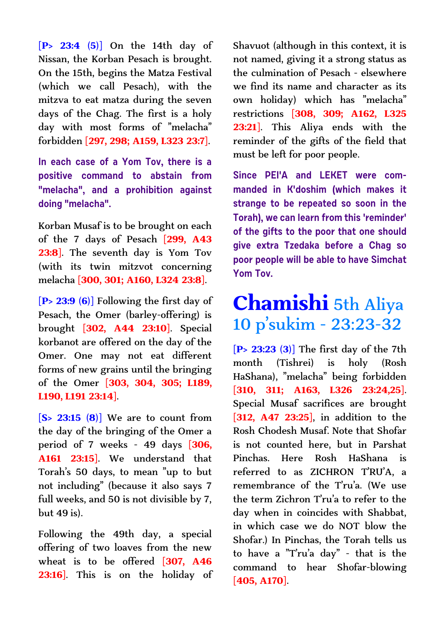**[P> 23:4 (5)]** On the 14th day of Nissan, the Korban Pesach is brought. On the 15th, begins the Matza Festival (which we call Pesach), with the mitzva to eat matza during the seven days of the Chag. The first is a holy day with most forms of "melacha" forbidden **[297, 298; A159, L323 23:7]**.

**In each case of a Yom Tov, there is a positive command to abstain from "melacha", and a prohibition against doing "melacha".** 

Korban Musaf is to be brought on each of the 7 days of Pesach **[299, A43 23:8]**. The seventh day is Yom Tov (with its twin mitzvot concerning melacha **[300, 301; A160, L324 23:8]**.

**[P> 23:9 (6)]** Following the first day of Pesach, the Omer (barley-offering) is brought **[302, A44 23:10]**. Special korbanot are offered on the day of the Omer. One may not eat different forms of new grains until the bringing of the Omer **[303, 304, 305; L189, L190, L191 23:14]**.

**[S> 23:15 (8)]** We are to count from the day of the bringing of the Omer a period of 7 weeks - 49 days **[306, A161 23:15]**. We understand that Torah's 50 days, to mean "up to but not including" (because it also says 7 full weeks, and 50 is not divisible by 7,  $but 49 is$ .

Following the 49th day, a special offering of two loaves from the new wheat is to be offered **[307, A46 23:16]**. This is on the holiday of Shavuot (although in this context, it is not named, giving it a strong status as the culmination of Pesach - elsewhere we find its name and character as its own holiday) which has "melacha" restrictions **[308, 309; A162, L325 23:21]**. This Aliya ends with the reminder of the gifts of the field that must be left for poor people.

**Since PEI'A and LEKET were commanded in K'doshim (which makes it strange to be repeated so soon in the Torah), we can learn from this 'reminder' of the gifts to the poor that one should give extra Tzedaka before a Chag so poor people will be able to have Simchat Yom Tov.**

### **Chamishi** 5th Aliya 10 p'sukim - 23:23-32

**[P> 23:23 (3)]** The first day of the 7th month (Tishrei) is holy (Rosh HaShana), "melacha" being forbidden **[310, 311; A163, L326 23:24,25]**. Special Musaf sacrifices are brought **[312, A47 23:25]**, in addition to the Rosh Chodesh Musaf. Note that Shofar is not counted here, but in Parshat Pinchas. Here Rosh HaShana is referred to as ZICHRON T'RU'A, a remembrance of the T'ru'a. (We use the term Zichron T'ru'a to refer to the day when in coincides with Shabbat, in which case we do NOT blow the Shofar.) In Pinchas, the Torah tells us to have a "T'ru'a day" - that is the command to hear Shofar-blowing **[405, A170]**.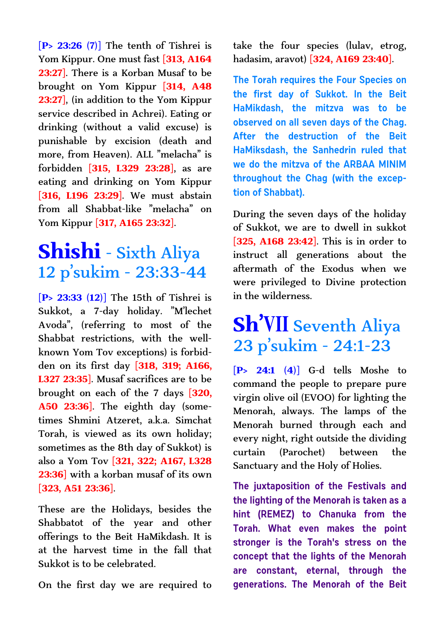**[P> 23:26 (7)]** The tenth of Tishrei is Yom Kippur. One must fast **[313, A164 23:27]**. There is a Korban Musaf to be brought on Yom Kippur **[314, A48 23:27]**, (in addition to the Yom Kippur service described in Achrei). Eating or drinking (without a valid excuse) is punishable by excision (death and more, from Heaven). ALL "melacha" is forbidden **[315, L329 23:28]**, as are eating and drinking on Yom Kippur **[316, L196 23:29]**. We must abstain from all Shabbat-like "melacha" on Yom Kippur **[317, A165 23:32]**.

#### **Shishi** - Sixth Aliya 12 p'sukim - 23:33-44

**[P> 23:33 (12)]** The 15th of Tishrei is Sukkot, a 7-day holiday. "M'lechet Avoda", (referring to most of the Shabbat restrictions, with the wellknown Yom Tov exceptions) is forbidden on its first day **[318, 319; A166, L327 23:35]**. Musaf sacrifices are to be brought on each of the 7 days **[320, A50 23:36]**. The eighth day (sometimes Shmini Atzeret, a.k.a. Simchat Torah, is viewed as its own holiday; sometimes as the 8th day of Sukkot) is also a Yom Tov **[321, 322; A167, L328 23:36]** with a korban musaf of its own **[323, A51 23:36]**.

These are the Holidays, besides the Shabbatot of the year and other offerings to the Beit HaMikdash. It is at the harvest time in the fall that Sukkot is to be celebrated.

On the first day we are required to

take the four species (lulav, etrog, hadasim, aravot) **[324, A169 23:40]**.

**The Torah requires the Four Species on the first day of Sukkot. In the Beit HaMikdash, the mitzva was to be observed on all seven days of the Chag. After the destruction of the Beit HaMiksdash, the Sanhedrin ruled that we do the mitzva of the ARBAA MINIM throughout the Chag (with the exception of Shabbat).**

During the seven days of the holiday of Sukkot, we are to dwell in sukkot **[325, A168 23:42]**. This is in order to instruct all generations about the aftermath of the Exodus when we were privileged to Divine protection in the wilderness.

### **Sh'VII** Seventh Aliya 23 p'sukim - 24:1-23

**[P> 24:1 (4)]** G-d tells Moshe to command the people to prepare pure virgin olive oil (EVOO) for lighting the Menorah, always. The lamps of the Menorah burned through each and every night, right outside the dividing curtain (Parochet) between the Sanctuary and the Holy of Holies.

**The juxtaposition of the Festivals and the lighting of the Menorah is taken as a hint (REMEZ) to Chanuka from the Torah. What even makes the point stronger is the Torah's stress on the concept that the lights of the Menorah are constant, eternal, through the generations. The Menorah of the Beit**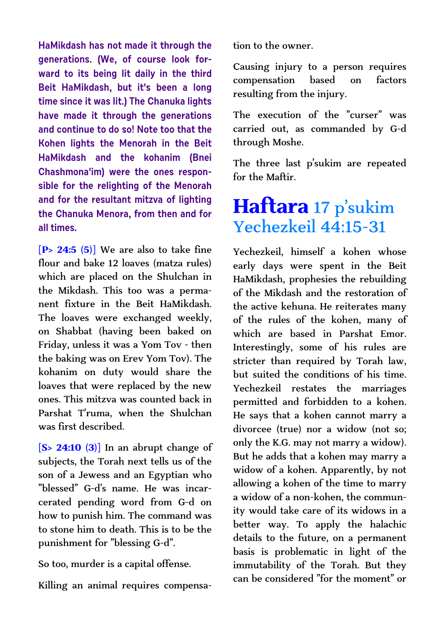**HaMikdash has not made it through the generations. (We, of course look forward to its being lit daily in the third Beit HaMikdash, but it's been a long time since it was lit.) The Chanuka lights have made it through the generations and continue to do so! Note too that the Kohen lights the Menorah in the Beit HaMikdash and the kohanim (Bnei Chashmona'im) were the ones responsible for the relighting of the Menorah and for the resultant mitzva of lighting the Chanuka Menora, from then and for all times.**

**[P> 24:5 (5)]** We are also to take fine flour and bake 12 loaves (matza rules) which are placed on the Shulchan in the Mikdash. This too was a permanent fixture in the Beit HaMikdash. The loaves were exchanged weekly, on Shabbat (having been baked on Friday, unless it was a Yom Tov - then the baking was on Erev Yom Tov). The kohanim on duty would share the loaves that were replaced by the new ones. This mitzva was counted back in Parshat T'ruma, when the Shulchan was first described.

**[S> 24:10 (3)]** In an abrupt change of subjects, the Torah next tells us of the son of a Jewess and an Egyptian who "blessed" G-d's name. He was incarcerated pending word from G-d on how to punish him. The command was to stone him to death. This is to be the punishment for "blessing G-d".

So too, murder is a capital offense.

Killing an animal requires compensa-

tion to the owner.

Causing injury to a person requires compensation based on factors resulting from the injury.

The execution of the "curser" was carried out, as commanded by G-d through Moshe.

The three last p'sukim are repeated for the Maftir.

#### **Haftara** 17 p'sukim Yechezkeil 44:15-31

Yechezkeil, himself a kohen whose early days were spent in the Beit HaMikdash, prophesies the rebuilding of the Mikdash and the restoration of the active kehuna. He reiterates many of the rules of the kohen, many of which are based in Parshat Emor. Interestingly, some of his rules are stricter than required by Torah law, but suited the conditions of his time. Yechezkeil restates the marriages permitted and forbidden to a kohen. He says that a kohen cannot marry a divorcee (true) nor a widow (not so; only the K.G. may not marry a widow). But he adds that a kohen may marry a widow of a kohen. Apparently, by not allowing a kohen of the time to marry a widow of a non-kohen, the community would take care of its widows in a better way. To apply the halachic details to the future, on a permanent basis is problematic in light of the immutability of the Torah. But they can be considered "for the moment" or